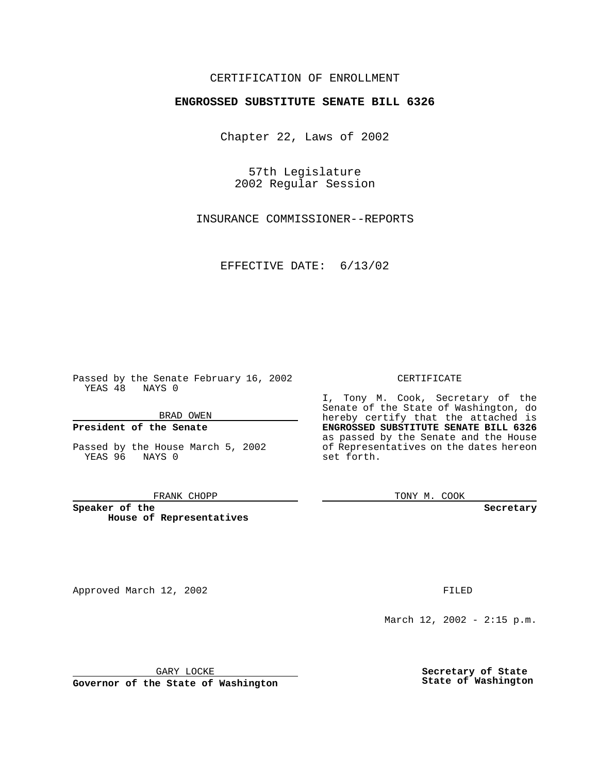## CERTIFICATION OF ENROLLMENT

# **ENGROSSED SUBSTITUTE SENATE BILL 6326**

Chapter 22, Laws of 2002

57th Legislature 2002 Regular Session

INSURANCE COMMISSIONER--REPORTS

EFFECTIVE DATE: 6/13/02

Passed by the Senate February 16, 2002 YEAS 48 NAYS 0

BRAD OWEN

### **President of the Senate**

Passed by the House March 5, 2002 YEAS 96 NAYS 0

#### FRANK CHOPP

**Speaker of the House of Representatives**

Approved March 12, 2002 **FILED** 

March 12, 2002 - 2:15 p.m.

GARY LOCKE

**Governor of the State of Washington**

#### CERTIFICATE

I, Tony M. Cook, Secretary of the Senate of the State of Washington, do hereby certify that the attached is **ENGROSSED SUBSTITUTE SENATE BILL 6326** as passed by the Senate and the House of Representatives on the dates hereon set forth.

TONY M. COOK

**Secretary**

**Secretary of State State of Washington**